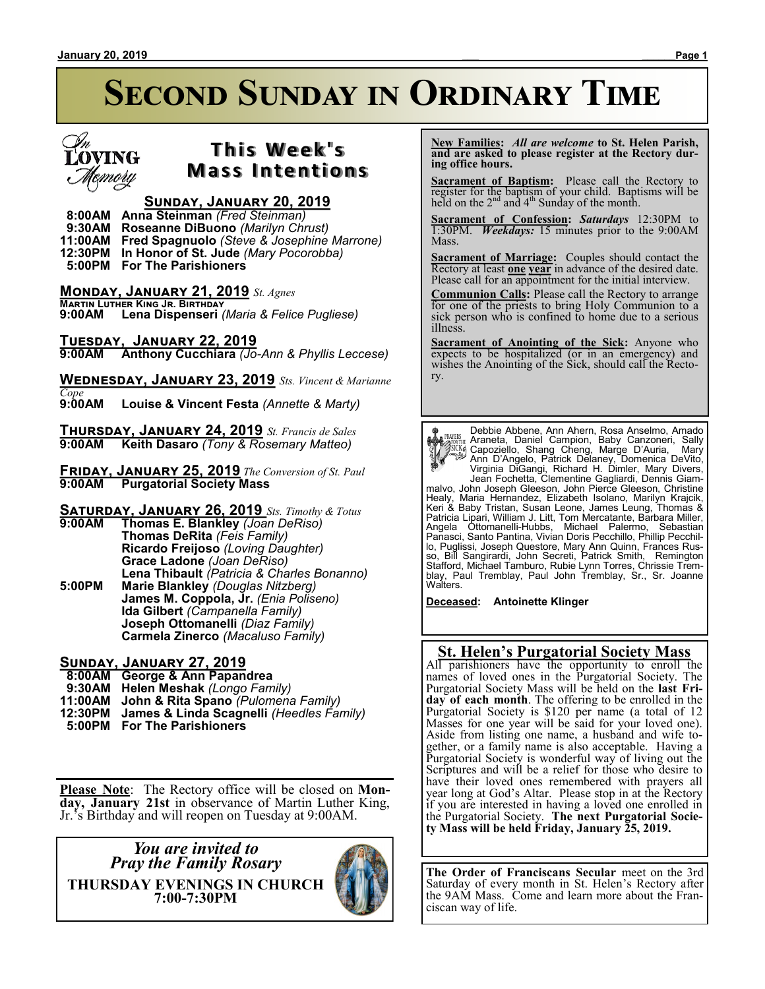# **SECOND SUNDAY IN ORDINARY TIME**



# **T h i s We e k ' s Mass Intentions**

### **Sunday, January 20, 2019**

 **8:00AM Anna Steinman** *(Fred Steinman)*

 **9:30AM Roseanne DiBuono** *(Marilyn Chrust)*

**11:00AM Fred Spagnuolo** *(Steve & Josephine Marrone)*

**12:30PM In Honor of St. Jude** *(Mary Pocorobba)*  **5:00PM For The Parishioners**

**Monday, January 21, 2019** *St. Agnes*

**Martin Luther King Jr. Birthday 9:00AM Lena Dispenseri** *(Maria & Felice Pugliese)*

**Tuesday, January 22, 2019 9:00AM Anthony Cucchiara** *(Jo-Ann & Phyllis Leccese)*

**Wednesday, January 23, 2019** *Sts. Vincent & Marianne* 

*Cope* **9:00AM Louise & Vincent Festa** *(Annette & Marty)*

**Thursday, January 24, 2019** *St. Francis de Sales* **9:00AM Keith Dasaro** *(Tony & Rosemary Matteo)*

**Friday, January 25, 2019** *The Conversion of St. Paul* **9:00AM Purgatorial Society Mass**

**Saturday, January 26, 2019** *Sts. Timothy & Totus*

**9:00AM Thomas E. Blankley** *(Joan DeRiso)* **Thomas DeRita** *(Feis Family)* **Ricardo Freijoso** *(Loving Daughter)* **Grace Ladone** *(Joan DeRiso)* **Lena Thibault** *(Patricia & Charles Bonanno)* **5:00PM Marie Blankley** *(Douglas Nitzberg)* **James M. Coppola, Jr.** *(Enia Poliseno)* **Ida Gilbert** *(Campanella Family)* **Joseph Ottomanelli** *(Diaz Family)* **Carmela Zinerco** *(Macaluso Family)*

#### **Sunday, January 27, 2019**

 **8:00AM George & Ann Papandrea**

- **9:30AM Helen Meshak** *(Longo Family)*
- **11:00AM John & Rita Spano** *(Pulomena Family)*
- **12:30PM James & Linda Scagnelli** *(Heedles Family)*
- **5:00PM For The Parishioners**

**Please Note**: The Rectory office will be closed on **Monday, January 21st** in observance of Martin Luther King, Jr.'s Birthday and will reopen on Tuesday at 9:00AM.

*You are invited to Pray the Family Rosary* **THURSDAY EVENINGS IN CHURCH 7:00-7:30PM**



 **New Families:** *All are welcome* **to St. Helen Parish, and are asked to please register at the Rectory during office hours.**

**Sacrament of Baptism:** Please call the Rectory to register for the baptism of your child. Baptisms will be held on the  $2<sup>nd</sup>$  and  $4<sup>th</sup>$  Sunday of the month.

**Sacrament of Confession:** *Saturdays* 12:30PM to 1:30PM. *Weekdays:* 15 minutes prior to the 9:00AM Mass.

**Sacrament of Marriage:**Couples should contact the Rectory at least **one year** in advance of the desired date. Please call for an appointment for the initial interview.

**Communion Calls:** Please call the Rectory to arrange for one of the priests to bring Holy Communion to a sick person who is confined to home due to a serious illness.

**Sacrament of Anointing of the Sick:** Anyone who expects to be hospitalized (or in an emergency) and wishes the Anointing of the Sick, should call the Rectory.

Debbie Abbene, Ann Ahern, Rosa Anselmo, Amado Assume Araneta, Daniel Campion, Baby Canzoneri, Sally<br>
(Capoziello, Shang Cheng, Marge D'Auria, Mary<br>
Marge D'Auria, Mary<br>
Marge D'Auria, Mary<br>
Marge D'Auria, Mary<br>
Marge D'Auria, Mary<br>
Virginia DiGangi, Richard H. Dimler, Panasci, Santo Pantina, Vivian Doris Pecchillo, Phillip Pecchillo, Puglissi, Joseph Questore, Mary Ann Quinn, Frances Rus-<br>so, Bill Sangirardi, John Secreti, Patrick Smith, Remington<br>Stafford, Michael Tamburo, Rubie Lynn Torres, Chrissie Trem-<br>blay, Paul Tremblay, Paul John Tremblay, Walters.

**Deceased: Antoinette Klinger**

#### **St. Helen's Purgatorial Society Mass**

All parishioners have the opportunity to enroll the names of loved ones in the Purgatorial Society. The Purgatorial Society Mass will be held on the **last Friday of each month**. The offering to be enrolled in the Purgatorial Society is \$120 per name (a total of 12 Masses for one year will be said for your loved one). Aside from listing one name, a husband and wife together, or a family name is also acceptable. Having a Purgatorial Society is wonderful way of living out the Scriptures and will be a relief for those who desire to have their loved ones remembered with prayers all year long at God's Altar. Please stop in at the Rectory if you are interested in having a loved one enrolled in the Purgatorial Society. **The next Purgatorial Society Mass will be held Friday, January 25, 2019.**

**The Order of Franciscans Secular** meet on the 3rd Saturday of every month in St. Helen's Rectory after the 9AM Mass. Come and learn more about the Franciscan way of life.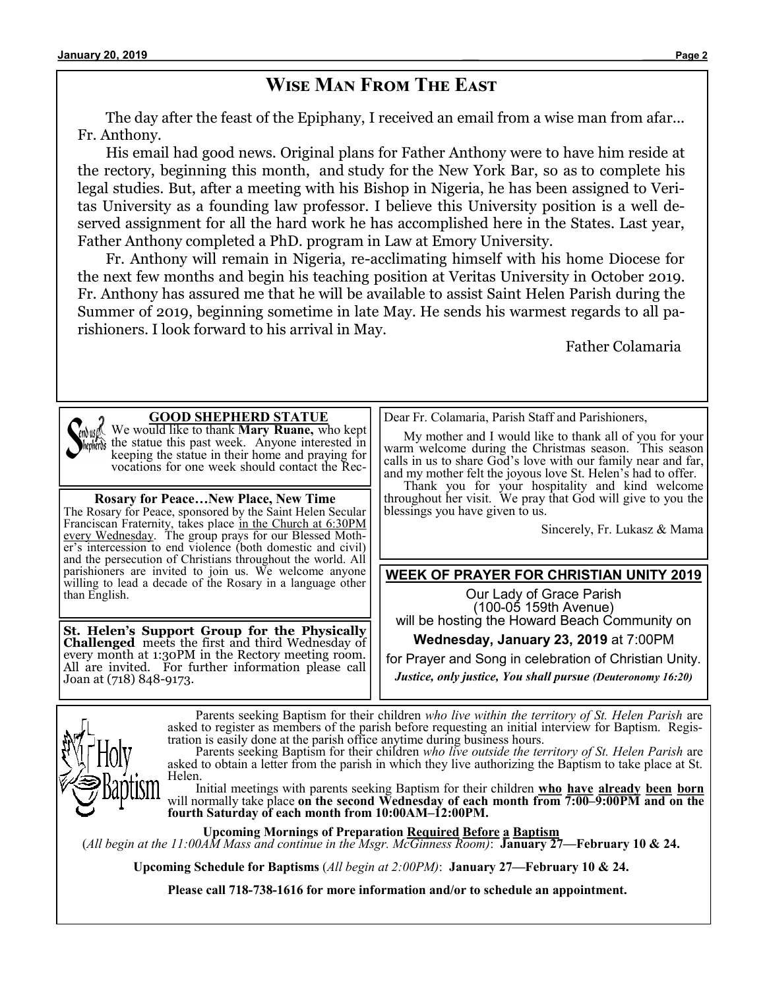## **Wise Man From The East**

The day after the feast of the Epiphany, I received an email from a wise man from afar... Fr. Anthony.

His email had good news. Original plans for Father Anthony were to have him reside at the rectory, beginning this month, and study for the New York Bar, so as to complete his legal studies. But, after a meeting with his Bishop in Nigeria, he has been assigned to Veritas University as a founding law professor. I believe this University position is a well deserved assignment for all the hard work he has accomplished here in the States. Last year, Father Anthony completed a PhD. program in Law at Emory University.

Fr. Anthony will remain in Nigeria, re-acclimating himself with his home Diocese for the next few months and begin his teaching position at Veritas University in October 2019. Fr. Anthony has assured me that he will be available to assist Saint Helen Parish during the Summer of 2019, beginning sometime in late May. He sends his warmest regards to all parishioners. I look forward to his arrival in May.

Father Colamaria



#### **GOOD SHEPHERD STATUE**

We would like to thank **Mary Ruane,** who kept  $\delta$  the statue this past week. Anyone interested in keeping the statue in their home and praying for vocations for one week should contact the Rec-

**Rosary for Peace…New Place, New Time** The Rosary for Peace, sponsored by the Saint Helen Secular Franciscan Fraternity, takes place in the Church at 6:30PM every Wednesday. The group prays for our Blessed Mother's intercession to end violence (both domestic and civil) and the persecution of Christians throughout the world. All parishioners are invited to join us. We welcome anyone willing to lead a decade of the Rosary in a language other than English.

**St. Helen's Support Group for the Physically Challenged** meets the first and third Wednesday of every month at 1:30PM in the Rectory meeting room. All are invited. For further information please call Joan at (718) 848-9173.

Dear Fr. Colamaria, Parish Staff and Parishioners,

 My mother and I would like to thank all of you for your warm welcome during the Christmas season. This season calls in us to share God's love with our family near and far, and my mother felt the joyous love St. Helen's had to offer.

 Thank you for your hospitality and kind welcome throughout her visit. We pray that God will give to you the blessings you have given to us.

Sincerely, Fr. Lukasz & Mama

#### **WEEK OF PRAYER FOR CHRISTIAN UNITY 2019**

Our Lady of Grace Parish (100-05 159th Avenue) will be hosting the Howard Beach Community on

**Wednesday, January 23, 2019** at 7:00PM

for Prayer and Song in celebration of Christian Unity.

*Justice, only justice, You shall pursue (Deuteronomy 16:20)*

Parents seeking Baptism for their children *who live within the territory of St. Helen Parish* are asked to register as members of the parish before requesting an initial interview for Baptism. Registration is easily done at the parish office anytime during business hours.

Parents seeking Baptism for their children *who live outside the territory of St. Helen Parish* are asked to obtain a letter from the parish in which they live authorizing the Baptism to take place at St. Helen.

Initial meetings with parents seeking Baptism for their children **who have already been born** will normally take place **on the second Wednesday of each month from 7:00–9:00PM and on the fourth Saturday of each month from 10:00AM–12:00PM.**

**Upcoming Mornings of Preparation Required Before a Baptism** (*All begin at the 11:00AM Mass and continue in the Msgr. McGinness Room)*: **January 27—February 10 & 24.**

**Upcoming Schedule for Baptisms** (*All begin at 2:00PM)*: **January 27—February 10 & 24.**

**Please call 718-738-1616 for more information and/or to schedule an appointment.**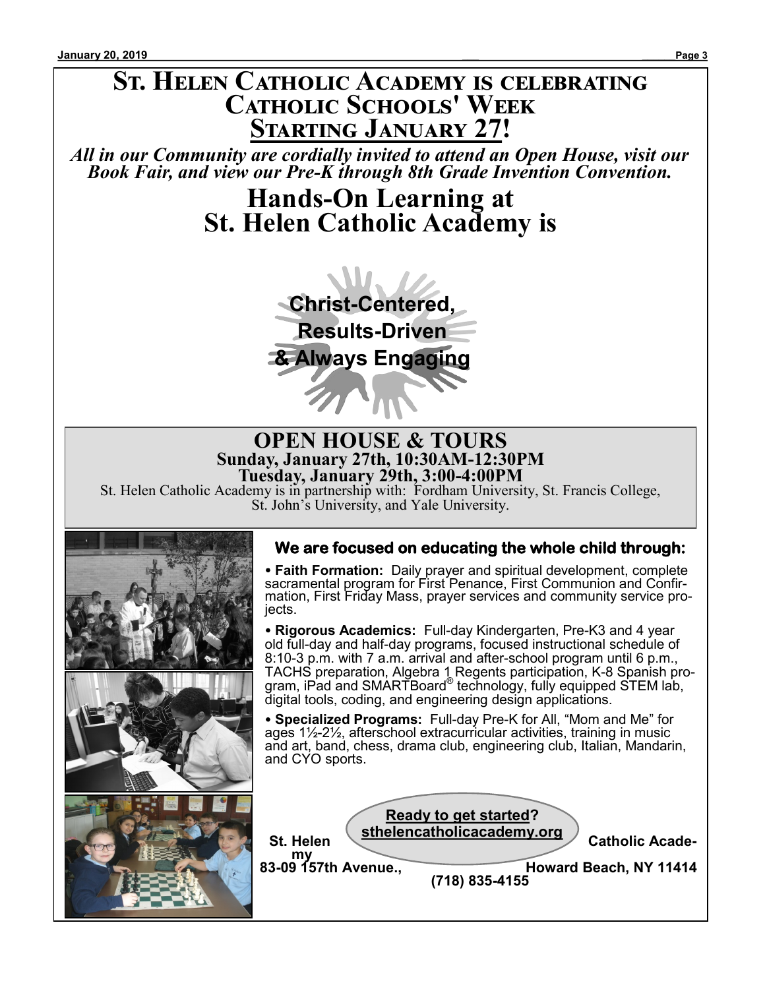# **St. Helen Catholic Academy is celebrating Catholic Schools' Week Starting January 27!**

*All in our Community are cordially invited to attend an Open House, visit our Book Fair, and view our Pre-K through 8th Grade Invention Convention.*

> **Hands-On Learning at St. Helen Catholic Academy is**



#### **OPEN HOUSE & TOURS Sunday, January 27th, 10:30AM-12:30PM Tuesday, January 29th, 3:00-4:00PM**

St. Helen Catholic Academy is in partnership with: Fordham University, St. Francis College, St. John's University, and Yale University.



## **We are focused on educating the whole child through:**

 **Faith Formation:** Daily prayer and spiritual development, complete sacramental program for First Penance, First Communion and Confirmation, First Friday Mass, prayer services and community service projects.

 **Rigorous Academics:** Full-day Kindergarten, Pre-K3 and 4 year old full-day and half-day programs, focused instructional schedule of 8:10-3 p.m. with 7 a.m. arrival and after-school program until 6 p.m., TACHS preparation, Algebra 1 Regents participation, K-8 Spanish program, iPad and SMARTBoard® technology, fully equipped STEM lab, digital tools, coding, and engineering design applications.

 **Specialized Programs:** Full-day Pre-K for All, "Mom and Me" for ages 1½-2½, afterschool extracurricular activities, training in music and art, band, chess, drama club, engineering club, Italian, Mandarin, and CYO sports.

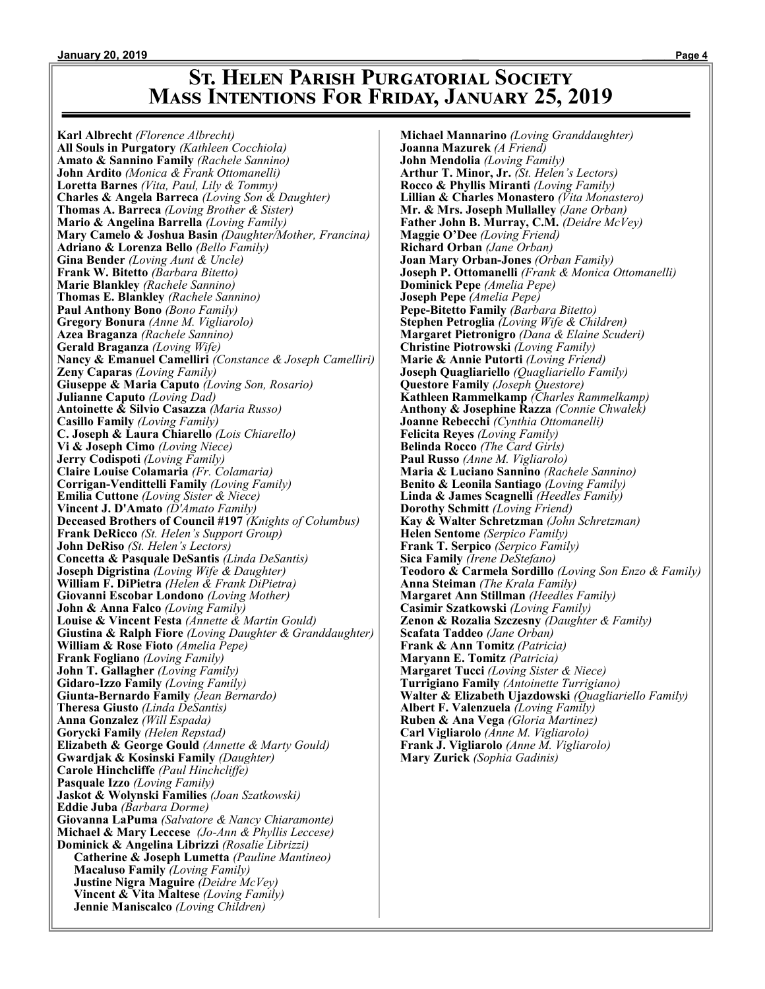## **St. Helen Parish Purgatorial Society Mass Intentions For Friday, January 25, 2019**

**Karl Albrecht** *(Florence Albrecht)* **All Souls in Purgatory** *(Kathleen Cocchiola)* **Amato & Sannino Family** *(Rachele Sannino)* **John Ardito** *(Monica & Frank Ottomanelli)* **Loretta Barnes** *(Vita, Paul, Lily & Tommy)* **Charles & Angela Barreca** *(Loving Son & Daughter)* **Thomas A. Barreca** *(Loving Brother & Sister)* **Mario & Angelina Barrella** *(Loving Family)* **Mary Camelo & Joshua Basin** *(Daughter/Mother, Francina)* **Adriano & Lorenza Bello** *(Bello Family)* **Gina Bender** *(Loving Aunt & Uncle)* **Frank W. Bitetto** *(Barbara Bitetto)* **Marie Blankley** *(Rachele Sannino)* **Thomas E. Blankley** *(Rachele Sannino)* **Paul Anthony Bono** *(Bono Family)* **Gregory Bonura** *(Anne M. Vigliarolo)* **Azea Braganza** *(Rachele Sannino)* **Gerald Braganza** *(Loving Wife)* **Nancy & Emanuel Camelliri** *(Constance & Joseph Camelliri)* **Zeny Caparas** *(Loving Family)* **Giuseppe & Maria Caputo** *(Loving Son, Rosario)* **Julianne Caputo** *(Loving Dad)* **Antoinette & Silvio Casazza** *(Maria Russo)* **Casillo Family** *(Loving Family)* **C. Joseph & Laura Chiarello** *(Lois Chiarello)* **Vi & Joseph Cimo** *(Loving Niece)* **Jerry Codispoti** *(Loving Family)* **Claire Louise Colamaria** *(Fr. Colamaria)* **Corrigan-Vendittelli Family** *(Loving Family)* **Emilia Cuttone** *(Loving Sister & Niece)* **Vincent J. D'Amato** *(D'Amato Family)* **Deceased Brothers of Council #197** *(Knights of Columbus)* **Frank DeRicco** *(St. Helen's Support Group)* **John DeRiso** *(St. Helen's Lectors)* **Concetta & Pasquale DeSantis** *(Linda DeSantis)* **Joseph Digristina** *(Loving Wife & Daughter)* **William F. DiPietra** *(Helen & Frank DiPietra)* **Giovanni Escobar Londono** *(Loving Mother)* **John & Anna Falco** *(Loving Family)* **Louise & Vincent Festa** *(Annette & Martin Gould)* **Giustina & Ralph Fiore** *(Loving Daughter & Granddaughter)* **William & Rose Fioto** *(Amelia Pepe)* **Frank Fogliano** *(Loving Family)* **John T. Gallagher** *(Loving Family)* **Gidaro-Izzo Family** *(Loving Family)* **Giunta-Bernardo Family** *(Jean Bernardo)* **Theresa Giusto** *(Linda DeSantis)* **Anna Gonzalez** *(Will Espada)* **Gorycki Family** *(Helen Repstad)* **Elizabeth & George Gould** *(Annette & Marty Gould)* **Gwardjak & Kosinski Family** *(Daughter)* **Carole Hinchcliffe** *(Paul Hinchcliffe)* **Pasquale Izzo** *(Loving Family)* **Jaskot & Wolynski Families** *(Joan Szatkowski)* **Eddie Juba** *(Barbara Dorme)* **Giovanna LaPuma** *(Salvatore & Nancy Chiaramonte)* **Michael & Mary Leccese** *(Jo-Ann & Phyllis Leccese)* **Dominick & Angelina Librizzi** *(Rosalie Librizzi)* **Catherine & Joseph Lumetta** *(Pauline Mantineo)* **Macaluso Family** *(Loving Family)* **Justine Nigra Maguire** *(Deidre McVey)* **Vincent & Vita Maltese** *(Loving Family)* **Jennie Maniscalco** *(Loving Children)*

**Michael Mannarino** *(Loving Granddaughter)* **Joanna Mazurek** *(A Friend)* **John Mendolia** *(Loving Family)* **Arthur T. Minor, Jr.** *(St. Helen's Lectors)* **Rocco & Phyllis Miranti** *(Loving Family)* **Lillian & Charles Monastero** *(Vita Monastero)* **Mr. & Mrs. Joseph Mullalley** *(Jane Orban)* **Father John B. Murray, C.M.** *(Deidre McVey)* **Maggie O'Dee** *(Loving Friend)* **Richard Orban** *(Jane Orban)* **Joan Mary Orban-Jones** *(Orban Family)* **Joseph P. Ottomanelli** *(Frank & Monica Ottomanelli)* **Dominick Pepe** *(Amelia Pepe)* **Joseph Pepe** *(Amelia Pepe)* **Pepe-Bitetto Family** *(Barbara Bitetto)* **Stephen Petroglia** *(Loving Wife & Children)* **Margaret Pietronigro** *(Dana & Elaine Scuderi)* **Christine Piotrowski** *(Loving Family)* **Marie & Annie Putorti** *(Loving Friend)* **Joseph Quagliariello** *(Quagliariello Family)* **Questore Family** *(Joseph Questore)* **Kathleen Rammelkamp** *(Charles Rammelkamp)* **Anthony & Josephine Razza** *(Connie Chwalek)* **Joanne Rebecchi** *(Cynthia Ottomanelli)* **Felicita Reyes** *(Loving Family)* **Belinda Rocco** *(The Card Girls)* **Paul Russo** *(Anne M. Vigliarolo)* **Maria & Luciano Sannino** *(Rachele Sannino)* **Benito & Leonila Santiago** *(Loving Family)* **Linda & James Scagnelli** *(Heedles Family)* **Dorothy Schmitt** *(Loving Friend)* **Kay & Walter Schretzman** *(John Schretzman)* **Helen Sentome** *(Serpico Family)* **Frank T. Serpico** *(Serpico Family)* **Sica Family** *(Irene DeStefano)* **Teodoro & Carmela Sordillo** *(Loving Son Enzo & Family)* **Anna Steiman** *(The Krala Family)* **Margaret Ann Stillman** *(Heedles Family)* **Casimir Szatkowski** *(Loving Family)* **Zenon & Rozalia Szczesny** *(Daughter & Family)* **Scafata Taddeo** *(Jane Orban)* **Frank & Ann Tomitz** *(Patricia)* **Maryann E. Tomitz** *(Patricia)* **Margaret Tucci** *(Loving Sister & Niece)* **Turrigiano Family** *(Antoinette Turrigiano)* **Walter & Elizabeth Ujazdowski** *(Quagliariello Family)* **Albert F. Valenzuela** *(Loving Family)* **Ruben & Ana Vega** *(Gloria Martinez)* **Carl Vigliarolo** *(Anne M. Vigliarolo)* **Frank J. Vigliarolo** *(Anne M. Vigliarolo)* **Mary Zurick** *(Sophia Gadinis)*